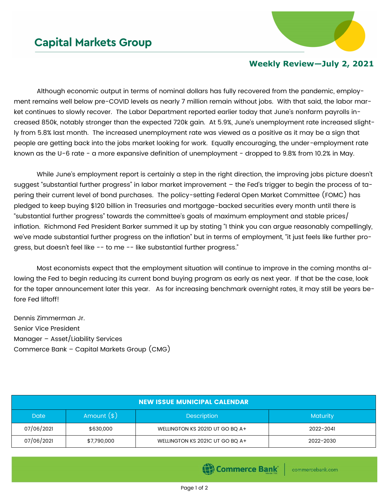

## **Weekly Review—July 2, 2021**

Although economic output in terms of nominal dollars has fully recovered from the pandemic, employment remains well below pre-COVID levels as nearly 7 million remain without jobs. With that said, the labor market continues to slowly recover. The Labor Department reported earlier today that June's nonfarm payrolls increased 850k, notably stronger than the expected 720k gain. At 5.9%, June's unemployment rate increased slightly from 5.8% last month. The increased unemployment rate was viewed as a positive as it may be a sign that people are getting back into the jobs market looking for work. Equally encouraging, the under-employment rate known as the U-6 rate - a more expansive definition of unemployment - dropped to 9.8% from 10.2% in May.

While June's employment report is certainly a step in the right direction, the improving jobs picture doesn't suggest "substantial further progress" in labor market improvement – the Fed's trigger to begin the process of tapering their current level of bond purchases. The policy-setting Federal Open Market Committee (FOMC) has pledged to keep buying \$120 billion in Treasuries and mortgage-backed securities every month until there is "substantial further progress" towards the committee's goals of maximum employment and stable prices/ inflation. Richmond Fed President Barker summed it up by stating "I think you can argue reasonably compellingly, we've made substantial further progress on the inflation" but in terms of employment, "it just feels like further progress, but doesn't feel like -- to me -- like substantial further progress."

Most economists expect that the employment situation will continue to improve in the coming months allowing the Fed to begin reducing its current bond buying program as early as next year. If that be the case, look for the taper announcement later this year. As for increasing benchmark overnight rates, it may still be years before Fed liftoff!

Dennis Zimmerman Jr. Senior Vice President Manager – Asset/Liability Services Commerce Bank – Capital Markets Group (CMG)

| <b>NEW ISSUE MUNICIPAL CALENDAR</b> |             |                                 |                 |  |  |  |
|-------------------------------------|-------------|---------------------------------|-----------------|--|--|--|
| Amount $(*)$<br><b>Date</b>         |             | <b>Description</b>              | <b>Maturity</b> |  |  |  |
| 07/06/2021                          | \$630,000   | WELLINGTON KS 2021D UT GO BQ A+ | 2022-2041       |  |  |  |
| 07/06/2021                          | \$7,790,000 | WELLINGTON KS 2021C UT GO BO A+ | 2022-2030       |  |  |  |

Commerce Bank

commercebank.com